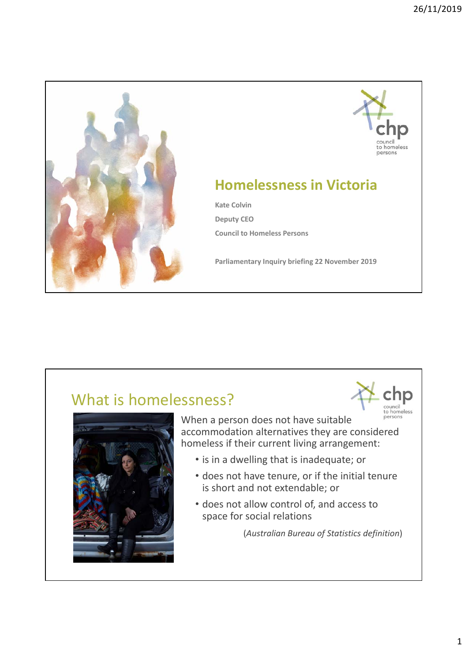



council

## **Homelessness in Victoria**

**Kate Colvin Deputy CEO Council to Homeless Persons**

**Parliamentary Inquiry briefing 22 November 2019**

## What is homelessness?



councii<br>to homeless When a person does not have suitable accommodation alternatives they are considered homeless if their current living arrangement:

- is in a dwelling that is inadequate; or
- does not have tenure, or if the initial tenure is short and not extendable; or
- does not allow control of, and access to space for social relations

(*Australian Bureau of Statistics definition*)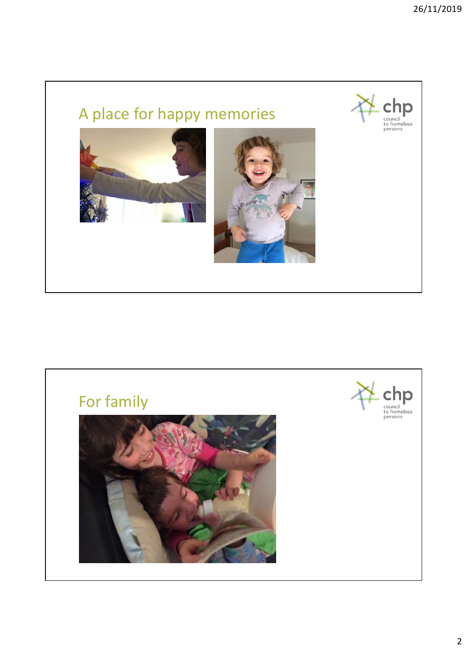

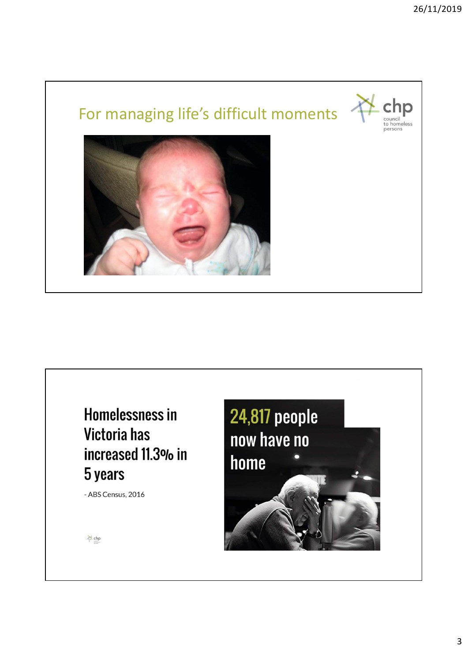

**Homelessness in** Victoria has increased 11.3% in 5 years

- ABS Census, 2016



<sup>M</sup> chp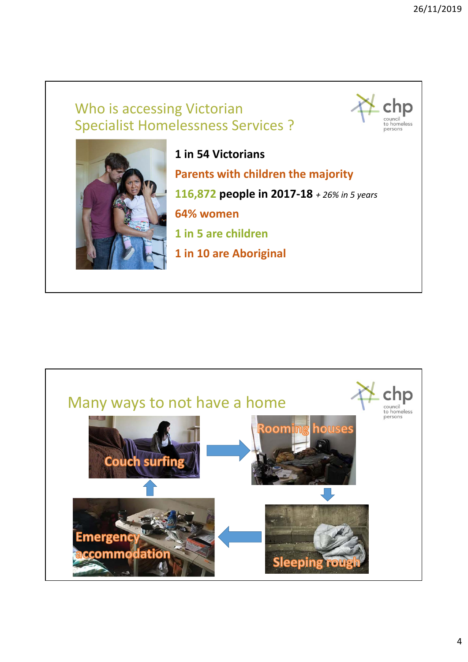## Who is accessing Victorian Specialist Homelessness Services ?





**1 in 54 Victorians Parents with children the majority 116,872 people in 2017‐18** *+ 26% in 5 years* **64% women 1 in 5 are children 1 in 10 are Aboriginal**

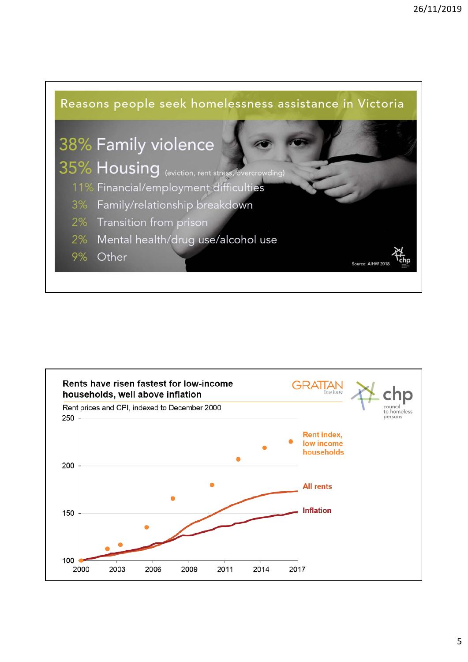

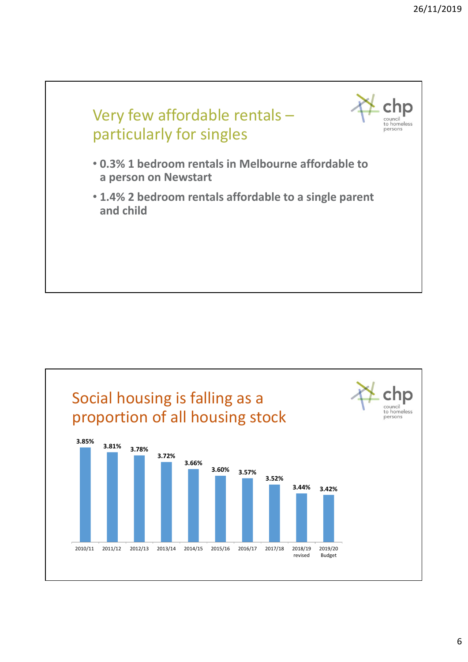

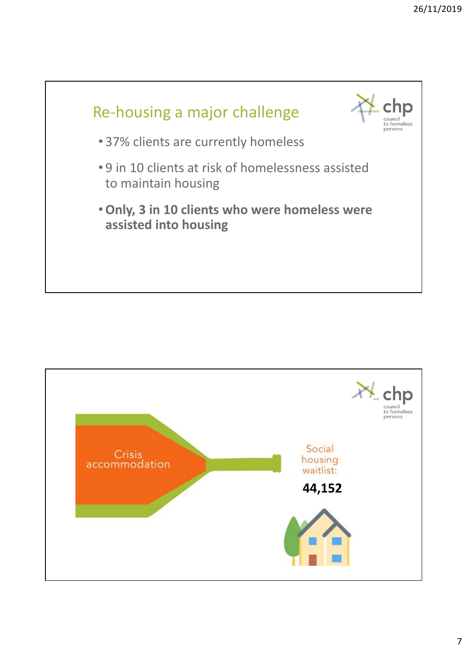

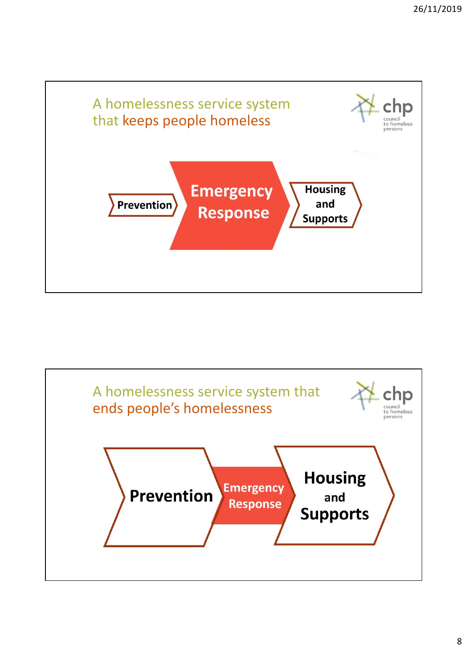

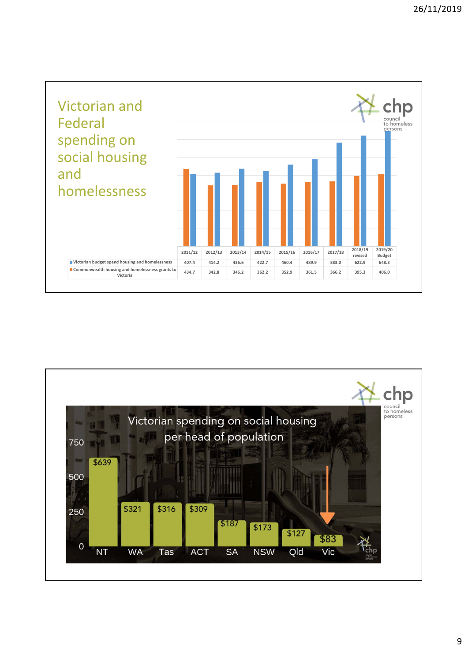

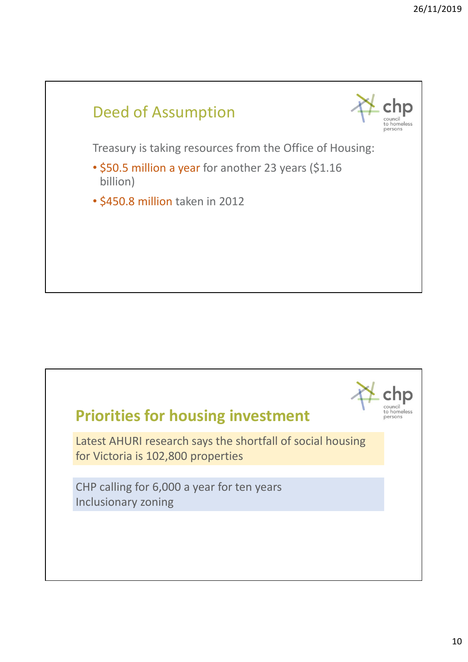

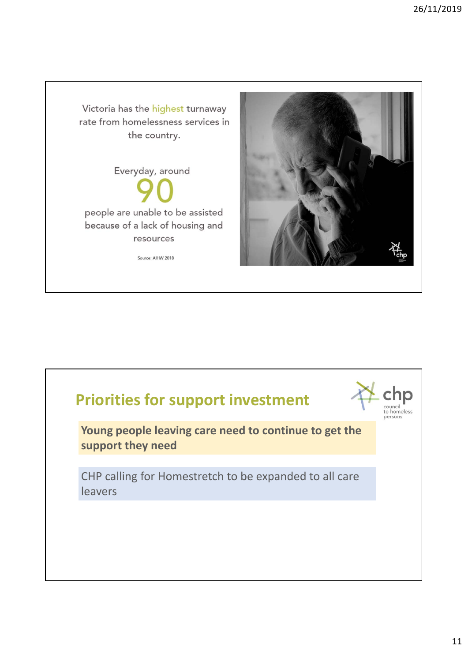